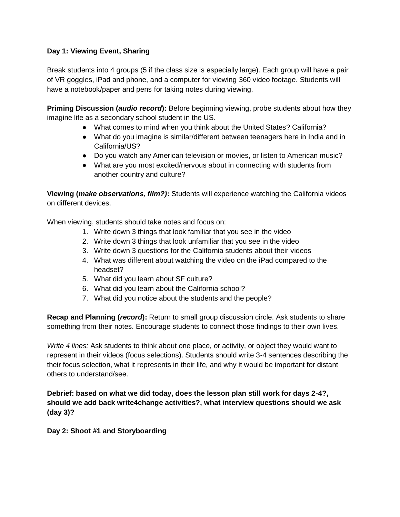# **Day 1: Viewing Event, Sharing**

Break students into 4 groups (5 if the class size is especially large). Each group will have a pair of VR goggles, iPad and phone, and a computer for viewing 360 video footage. Students will have a notebook/paper and pens for taking notes during viewing.

**Priming Discussion (***audio record***):** Before beginning viewing, probe students about how they imagine life as a secondary school student in the US.

- What comes to mind when you think about the United States? California?
- What do you imagine is similar/different between teenagers here in India and in California/US?
- Do you watch any American television or movies, or listen to American music?
- What are you most excited/nervous about in connecting with students from another country and culture?

**Viewing (***make observations, film?)***:** Students will experience watching the California videos on different devices.

When viewing, students should take notes and focus on:

- 1. Write down 3 things that look familiar that you see in the video
- 2. Write down 3 things that look unfamiliar that you see in the video
- 3. Write down 3 questions for the California students about their videos
- 4. What was different about watching the video on the iPad compared to the headset?
- 5. What did you learn about SF culture?
- 6. What did you learn about the California school?
- 7. What did you notice about the students and the people?

**Recap and Planning (***record***):** Return to small group discussion circle. Ask students to share something from their notes. Encourage students to connect those findings to their own lives.

*Write 4 lines:* Ask students to think about one place, or activity, or object they would want to represent in their videos (focus selections). Students should write 3-4 sentences describing the their focus selection, what it represents in their life, and why it would be important for distant others to understand/see.

**Debrief: based on what we did today, does the lesson plan still work for days 2-4?, should we add back write4change activities?, what interview questions should we ask (day 3)?**

**Day 2: Shoot #1 and Storyboarding**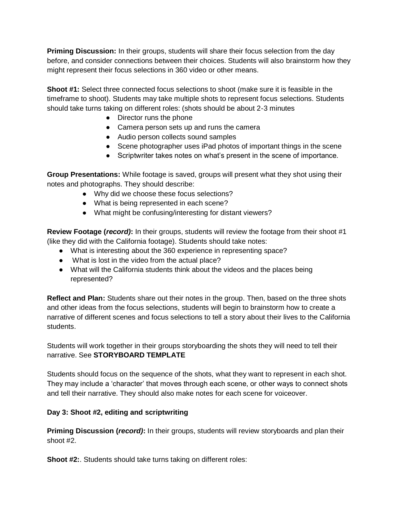**Priming Discussion:** In their groups, students will share their focus selection from the day before, and consider connections between their choices. Students will also brainstorm how they might represent their focus selections in 360 video or other means.

**Shoot #1:** Select three connected focus selections to shoot (make sure it is feasible in the timeframe to shoot). Students may take multiple shots to represent focus selections. Students should take turns taking on different roles: (shots should be about 2-3 minutes

- Director runs the phone
- Camera person sets up and runs the camera
- Audio person collects sound samples
- Scene photographer uses iPad photos of important things in the scene
- Scriptwriter takes notes on what's present in the scene of importance.

**Group Presentations:** While footage is saved, groups will present what they shot using their notes and photographs. They should describe:

- Why did we choose these focus selections?
- What is being represented in each scene?
- What might be confusing/interesting for distant viewers?

**Review Footage (***record)***:** In their groups, students will review the footage from their shoot #1 (like they did with the California footage). Students should take notes:

- What is interesting about the 360 experience in representing space?
- What is lost in the video from the actual place?
- What will the California students think about the videos and the places being represented?

**Reflect and Plan:** Students share out their notes in the group. Then, based on the three shots and other ideas from the focus selections, students will begin to brainstorm how to create a narrative of different scenes and focus selections to tell a story about their lives to the California students.

Students will work together in their groups storyboarding the shots they will need to tell their narrative. See **STORYBOARD TEMPLATE**

Students should focus on the sequence of the shots, what they want to represent in each shot. They may include a 'character' that moves through each scene, or other ways to connect shots and tell their narrative. They should also make notes for each scene for voiceover.

# **Day 3: Shoot #2, editing and scriptwriting**

**Priming Discussion (***record)***:** In their groups, students will review storyboards and plan their shoot #2.

**Shoot #2:**. Students should take turns taking on different roles: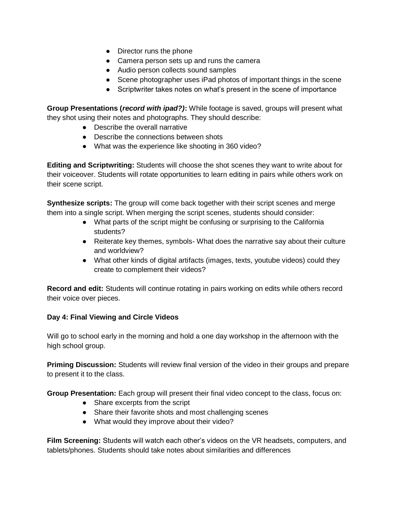- Director runs the phone
- Camera person sets up and runs the camera
- Audio person collects sound samples
- Scene photographer uses iPad photos of important things in the scene
- Scriptwriter takes notes on what's present in the scene of importance

**Group Presentations (***record with ipad?)***:** While footage is saved, groups will present what they shot using their notes and photographs. They should describe:

- Describe the overall narrative
- Describe the connections between shots
- What was the experience like shooting in 360 video?

**Editing and Scriptwriting:** Students will choose the shot scenes they want to write about for their voiceover. Students will rotate opportunities to learn editing in pairs while others work on their scene script.

**Synthesize scripts:** The group will come back together with their script scenes and merge them into a single script. When merging the script scenes, students should consider:

- What parts of the script might be confusing or surprising to the California students?
- Reiterate key themes, symbols- What does the narrative say about their culture and worldview?
- What other kinds of digital artifacts (images, texts, youtube videos) could they create to complement their videos?

**Record and edit:** Students will continue rotating in pairs working on edits while others record their voice over pieces.

#### **Day 4: Final Viewing and Circle Videos**

Will go to school early in the morning and hold a one day workshop in the afternoon with the high school group.

**Priming Discussion:** Students will review final version of the video in their groups and prepare to present it to the class.

**Group Presentation:** Each group will present their final video concept to the class, focus on:

- Share excerpts from the script
- Share their favorite shots and most challenging scenes
- What would they improve about their video?

**Film Screening:** Students will watch each other's videos on the VR headsets, computers, and tablets/phones. Students should take notes about similarities and differences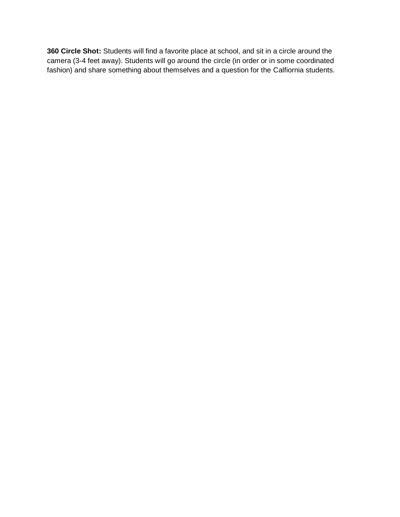**360 Circle Shot:** Students will find a favorite place at school, and sit in a circle around the camera (3-4 feet away). Students will go around the circle (in order or in some coordinated fashion) and share something about themselves and a question for the Calfiornia students.